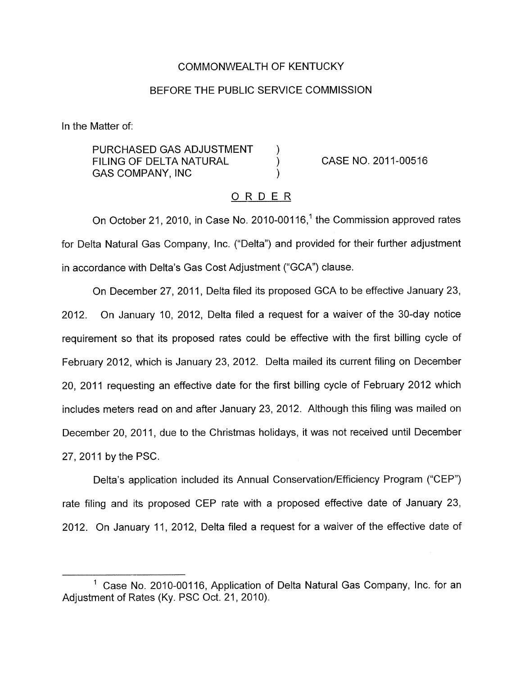#### COMMONWEALTH OF KENTUCKY

#### BEFORE THE PUBLIC SERVICE COMMISSION

In the Matter of:

PURCHASED GAS ADJUSTMENT ) FILING OF DELTA NATURAL (a) CASE NO. 2011-00516 GAS COMPANY, INC

#### ORDER

On October 21, 2010, in Case No. 2010-00116,<sup>1</sup> the Commission approved rates for Delta Natural Gas Company, Inc. ("Delta") and provided for their further adjustment in accordance with Delta's Gas Cost Adjustment ("GCA') clause.

On December 27, 2011, Delta filed its proposed GCA to be effective January 23, 2012. On January IO, 2012, Delta filed a request for a waiver of the 30-day notice requirement so that its proposed rates could be effective with the first billing cycle of February 2012, which is January 23, 2012. Delta mailed its current filing on December 20, 2011 requesting an effective date for the first billing cycle of February 2012 which includes meters read on and after January 23, 2012. Although this filing was mailed on December 20, 2011, due to the Christmas holidays, it was not received until December 27, 2011 by the PSC.

Delta's application included its Annual Conservation/Efficiency Program ("CEP") rate filing and its proposed CEP rate with a proposed effective date of January 23, 2012. On January 11, 2012, Delta filed a request for a waiver of the effective date of

Case No. 2010-00116, Application of Delta Natural Gas Company, Inc. for an Adjustment of Rates (Ky. PSC Oct. 21, 2010).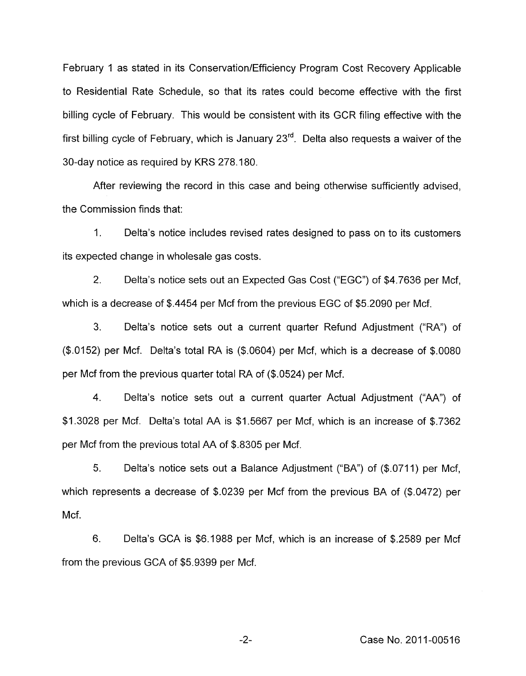February 1 as stated in its Conservation/Efficiency Program Cost Recovery Applicable to Residential Rate Schedule, so that its rates could become effective with the first billing cycle of February. This would be consistent with its GCR filing effective with the first billing cycle of February, which is January 23". Delta also requests a waiver of the 30-day notice as required by KRS 278.180.

After reviewing the record in this case and being otherwise sufficiently advised, the Commission finds that:

1. Delta's notice includes revised rates designed to pass on to its customers its expected change in wholesale gas costs.

2. Delta's notice sets out an Expected Gas Cost ("EGC") of \$4.7636 per Mcf, which is a decrease of \$.4454 per Mcf from the previous EGC of \$5.2090 per Mcf.

3. Delta's notice sets out a current quarter Refund Adjustment ("RA") of (\$.0152) per Mcf. Delta's total RA is (\$.0604) per Mcf, which is a decrease of \$.0080 per Mcf from the previous quarter total RA of (\$.0524) per Mcf.

**4.** Delta's notice sets out a current quarter Actual Adjustment ("AA") of \$1.3028 per Mcf. Delta's total AA is \$1.5667 per Mcf, which is an increase of \$.7362 per Mcf from the previous total AA of \$.8305 per Mcf.

5. Delta's notice sets out a Balance Adjustment ("BA") of (\$.0711) per Mcf, which represents a decrease of \$.0239 per Mcf from the previous BA of (\$.0472) per Mcf.

6. Delta's GCA is \$6.1988 per Mcf, which is an increase of \$.2589 per Mcf from the previous GCA of \$5.9399 per Mcf.

-2- Case **No.** 201 1-00516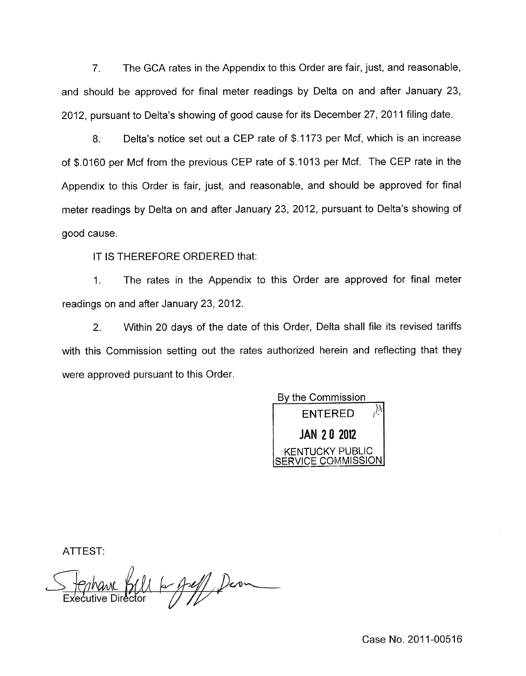7. The GCA rates in the Appendix to this Order are fair, just, and reasonable, and should be approved for final meter readings by Delta on and after January 23, 2012, pursuant to Delta's showing of good cause for its December 27, 2011 filing date.

8. Delta's notice set out a CEP rate of \$.I 173 per Mcf, which is an increase of \$.0160 per Mcf from the previous CEP rate of \$.I013 per Mcf. The CEP rate in the Appendix to this Order is fair, just, and reasonable, and should be approved for final meter readings by Delta on and after January 23, 2012, pursuant to Delta's showing of good cause.

IT IS THEREFORE ORDERED that:

1. The rates in the Appendix to this Order are approved for final meter readings on and after January 23,2012.

2. Within 20 days of the date of this Order, Delta shall file its revised tariffs with this Commission setting out the rates authorized herein and reflecting that they were approved pursuant to this Order.



ATTEST:

Bell 6- fell Dean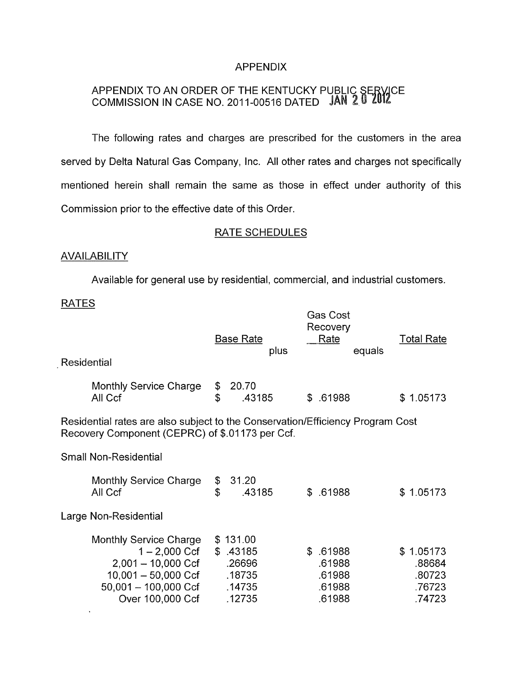## APPENDIX

## APPENDIX TO AN ORDER OF THE KENTUCKY PUBLIC SERVICE COMMISSION IN CASE NO. 201 1-00516 DATED

The following rates and charges are prescribed for the customers in the area served by Delta Natural Gas Company, Inc. All other rates and charges not specifically mentioned herein shall remain the same as those in effect under authority of this Commission prior to the effective date of this Order.

# RATE SCHEDULES

## **AVAILABILITY**

Available for general use by residential, commercial, and industrial customers.

#### RATES

 $\ddot{\phantom{1}}$ 

|                                                                                                                                   | plus                                     |                                                    | Rate<br>equals             | <b>Total Rate</b>                                                       |  |  |  |  |
|-----------------------------------------------------------------------------------------------------------------------------------|------------------------------------------|----------------------------------------------------|----------------------------|-------------------------------------------------------------------------|--|--|--|--|
| \$<br>\$                                                                                                                          | 20.70<br>.43185                          |                                                    |                            | \$1.05173                                                               |  |  |  |  |
| Residential rates are also subject to the Conservation/Efficiency Program Cost<br>Recovery Component (CEPRC) of \$.01173 per Ccf. |                                          |                                                    |                            |                                                                         |  |  |  |  |
|                                                                                                                                   |                                          |                                                    |                            |                                                                         |  |  |  |  |
| \$<br>$\mathbf{\hat{z}}$                                                                                                          | 31.20<br>.43185                          | S.                                                 |                            | \$1.05173                                                               |  |  |  |  |
|                                                                                                                                   |                                          |                                                    |                            |                                                                         |  |  |  |  |
|                                                                                                                                   | .26696<br>.18735<br>.14735               |                                                    | .61988<br>.61988<br>.61988 | \$1.05173<br>.88684<br>.80723<br>.76723<br>.74723                       |  |  |  |  |
|                                                                                                                                   | $1 - 2,000$ Ccf<br>$10,001 - 50,000$ Ccf | <b>Base Rate</b><br>\$131.00<br>\$.43185<br>.12735 |                            | <b>Gas Cost</b><br>Recovery<br>\$.61988<br>.61988<br>\$.61988<br>.61988 |  |  |  |  |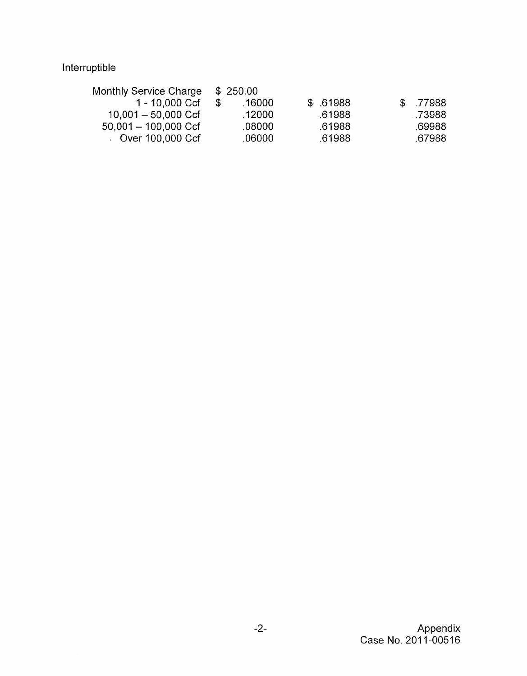# Interruptible

| .16000 |          |        |          | \$77988 |
|--------|----------|--------|----------|---------|
| .12000 |          | .61988 |          | - 73988 |
| .08000 |          | .61988 |          | .69988  |
| .06000 |          | .61988 |          | .67988  |
|        | \$250.00 |        | \$ 61988 |         |